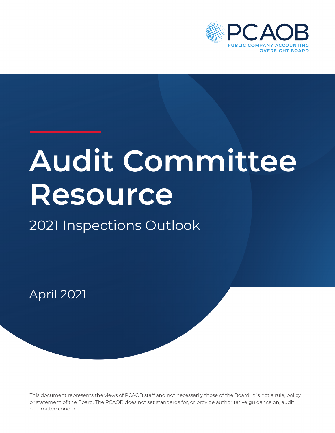

# **Audit Committee Resource**

## 2021 Inspections Outlook

April 2021

This document represents the views of PCAOB staff and not necessarily those of the Board. It is not a rule, policy, or statement of the Board. The PCAOB does not set standards for, or provide authoritative guidance on, audit committee conduct.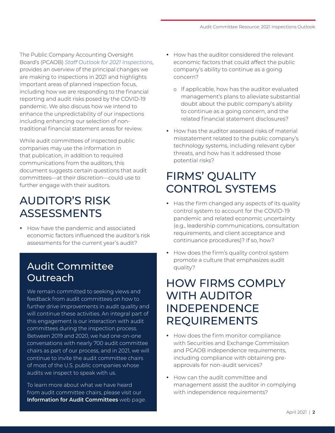The Public Company Accounting Oversight Board's (PCAOB) *[Staff Outlook for 2021 Inspections](https://pcaobus.org/documents/staff-outlook-2021-inspections-spotlight.pdf)*, provides an overview of the principal changes we are making to inspections in 2021 and highlights important areas of planned inspection focus, including how we are responding to the financial reporting and audit risks posed by the COVID-19 pandemic. We also discuss how we intend to enhance the unpredictability of our inspections including enhancing our selection of nontraditional financial statement areas for review.

While audit committees of inspected public companies may use the information in that publication, in addition to required communications from the auditors, this document suggests certain questions that audit committees—at their discretion—could use to further engage with their auditors.

## AUDITOR'S RISK ASSESSMENTS

• How have the pandemic and associated economic factors influenced the auditor's risk assessments for the current year's audit?

#### Audit Committee **Outreach**

We remain committed to seeking views and feedback from audit committees on how to further drive improvements in audit quality and will continue these activities. An integral part of this engagement is our interaction with audit committees during the inspection process. Between 2019 and 2020, we had one-on-one conversations with nearly 700 audit committee chairs as part of our process, and in 2021, we will continue to invite the audit committee chairs of most of the U.S. public companies whose audits we inspect to speak with us.

To learn more about what we have heard from audit committee chairs, please visit our **[Information for Audit Committees](https://pcaobus.org/Pages/AuditCommitteeMembers.aspx)** web page.

- How has the auditor considered the relevant economic factors that could affect the public company's ability to continue as a going concern?
	- o If applicable, how has the auditor evaluated management's plans to alleviate substantial doubt about the public company's ability to continue as a going concern, and the related financial statement disclosures?
- How has the auditor assessed risks of material misstatement related to the public company's technology systems, including relevant cyber threats, and how has it addressed those potential risks?

## FIRMS' QUALITY CONTROL SYSTEMS

- Has the firm changed any aspects of its quality control system to account for the COVID-19 pandemic and related economic uncertainty (e.g., leadership communications, consultation requirements, and client acceptance and continuance procedures)? If so, how?
- How does the firm's quality control system promote a culture that emphasizes audit quality?

## HOW FIRMS COMPLY WITH AUDITOR INDEPENDENCE REQUIREMENTS

- How does the firm monitor compliance with Securities and Exchange Commission and PCAOB independence requirements, including compliance with obtaining preapprovals for non-audit services?
- How can the audit committee and management assist the auditor in complying with independence requirements?